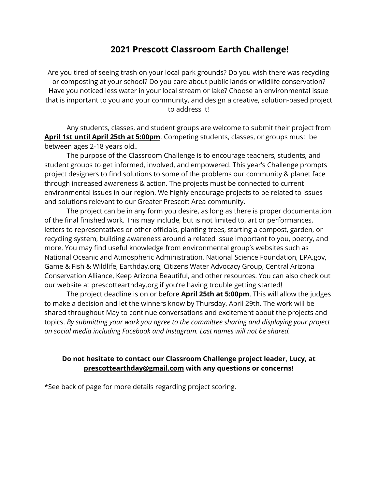## **2021 Prescott Classroom Earth Challenge!**

Are you tired of seeing trash on your local park grounds? Do you wish there was recycling or composting at your school? Do you care about public lands or wildlife conservation? Have you noticed less water in your local stream or lake? Choose an environmental issue that is important to you and your community, and design a creative, solution-based project to address it!

Any students, classes, and student groups are welcome to submit their project from **April 1st until April 25th at 5:00pm**. Competing students, classes, or groups must be between ages 2-18 years old..

The purpose of the Classroom Challenge is to encourage teachers, students, and student groups to get informed, involved, and empowered. This year's Challenge prompts project designers to find solutions to some of the problems our community & planet face through increased awareness & action. The projects must be connected to current environmental issues in our region. We highly encourage projects to be related to issues and solutions relevant to our Greater Prescott Area community.

The project can be in any form you desire, as long as there is proper documentation of the final finished work. This may include, but is not limited to, art or performances, letters to representatives or other officials, planting trees, starting a compost, garden, or recycling system, building awareness around a related issue important to you, poetry, and more. You may find useful knowledge from environmental group's websites such as National Oceanic and Atmospheric Administration, National Science Foundation, EPA.gov, Game & Fish & Wildlife, Earthday.org, Citizens Water Advocacy Group, Central Arizona Conservation Alliance, Keep Arizona Beautiful, and other resources. You can also check out our website at prescottearthday.org if you're having trouble getting started!

The project deadline is on or before **April 25th at 5:00pm**. This will allow the judges to make a decision and let the winners know by Thursday, April 29th. The work will be shared throughout May to continue conversations and excitement about the projects and topics. *By submitting your work you agree to the committee sharing and displaying your project on social media including Facebook and Instagram. Last names will not be shared.*

## **Do not hesitate to contact our Classroom Challenge project leader, Lucy, at prescottearthday@gmail.com with any questions or concerns!**

\*See back of page for more details regarding project scoring.